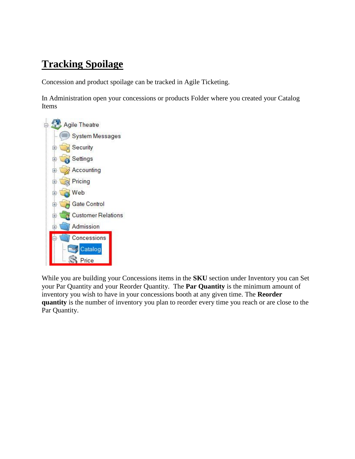## **Tracking Spoilage**

Concession and product spoilage can be tracked in Agile Ticketing.

In Administration open your concessions or products Folder where you created your Catalog Items



While you are building your Concessions items in the **SKU** section under Inventory you can Set your Par Quantity and your Reorder Quantity. The **Par Quantity** is the minimum amount of inventory you wish to have in your concessions booth at any given time. The **Reorder quantity** is the number of inventory you plan to reorder every time you reach or are close to the Par Quantity.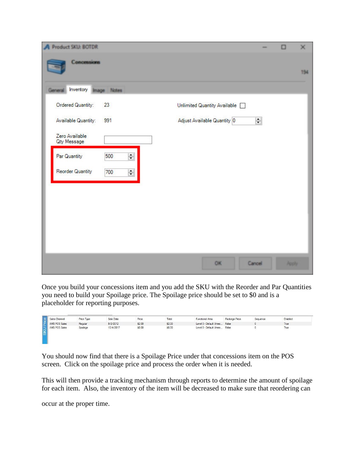| Product SKU: BOTDR                              |                              |        | α            | $\times$ |
|-------------------------------------------------|------------------------------|--------|--------------|----------|
| Concessions                                     |                              |        |              | 194      |
| Inventory<br>nage Notes                         |                              |        |              |          |
| Ordered Quantity:<br>23                         | Unlimited Quantity Available |        |              |          |
| Available Quantity:<br>991                      | Adjust Available Quantity 0  | $\div$ |              |          |
| Zero Available<br>Qty Message                   |                              |        |              |          |
| $\overline{\phantom{a}}$<br>Par Quantity<br>500 |                              |        |              |          |
| <b>Reorder Quantity</b><br>$\div$<br>700        |                              |        |              |          |
|                                                 |                              |        |              |          |
|                                                 |                              |        |              |          |
|                                                 |                              |        |              |          |
|                                                 |                              |        |              |          |
|                                                 |                              |        |              |          |
|                                                 | OK                           | Cancel | <b>Apply</b> |          |

Once you build your concessions item and you add the SKU with the Reorder and Par Quantities you need to build your Spoilage price. The Spoilage price should be set to \$0 and is a placeholder for reporting purposes.



You should now find that there is a Spoilage Price under that concessions item on the POS screen. Click on the spoilage price and process the order when it is needed.

This will then provide a tracking mechanism through reports to determine the amount of spoilage for each item. Also, the inventory of the item will be decreased to make sure that reordering can

occur at the proper time.